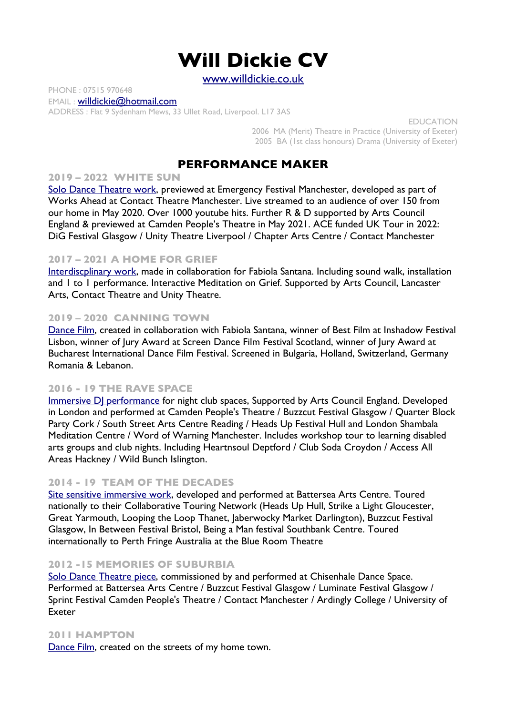# **Will Dickie CV**

[www.willdickie.co.uk](http://www.willdickie.co.uk/)

PHONE : 07515 970648 EMAIL : [willdickie@hotmail.com](mailto:willdickie@hotmail.com) ADDRESS : Flat 9 Sydenham Mews, 33 Ullet Road, Liverpool. L17 3AS

> EDUCATION 2006 MA (Merit) Theatre in Practice (University of Exeter) 2005 BA (1st class honours) Drama (University of Exeter)

# **PERFORMANCE MAKER**

### **2019 – 2022 WHITE SUN**

[Solo Dance Theatre work,](http://www.willdickie.co.uk/white-sun.html) previewed at Emergency Festival Manchester, developed as part of Works Ahead at Contact Theatre Manchester. Live streamed to an audience of over 150 from our home in May 2020. Over 1000 youtube hits. Further R & D supported by Arts Council England & previewed at Camden People's Theatre in May 2021. ACE funded UK Tour in 2022: DiG Festival Glasgow / Unity Theatre Liverpool / Chapter Arts Centre / Contact Manchester

#### **2017 – 2021 A HOME FOR GRIEF**

[Interdiscplinary work](https://www.fabiolasantana.co.uk/a-home-for-grief), made in collaboration for Fabiola Santana. Including sound walk, installation and 1 to 1 performance. Interactive Meditation on Grief. Supported by Arts Council, Lancaster Arts, Contact Theatre and Unity Theatre.

#### **2019 – 2020 CANNING TOWN**

[Dance Film](http://www.willdickie.co.uk/canning-town.html), created in collaboration with Fabiola Santana, winner of Best Film at Inshadow Festival Lisbon, winner of Jury Award at Screen Dance Film Festival Scotland, winner of Jury Award at Bucharest International Dance Film Festival. Screened in Bulgaria, Holland, Switzerland, Germany Romania & Lebanon.

### **2016 - 19 THE RAVE SPACE**

[Immersive DJ performance](http://www.willdickie.co.uk/TheRaveSpace.html) for night club spaces, Supported by Arts Council England. Developed in London and performed at Camden People's Theatre / Buzzcut Festival Glasgow / Quarter Block Party Cork / South Street Arts Centre Reading / Heads Up Festival Hull and London Shambala Meditation Centre / Word of Warning Manchester. Includes workshop tour to learning disabled arts groups and club nights. Including Heartnsoul Deptford / Club Soda Croydon / Access All Areas Hackney / Wild Bunch Islington.

### **2014 - 19 TEAM OF THE DECADES**

[Site sensitive immersive work,](http://www.willdickie.co.uk/Team_of_the_Decades.html) developed and performed at Battersea Arts Centre. Toured nationally to their Collaborative Touring Network (Heads Up Hull, Strike a Light Gloucester, Great Yarmouth, Looping the Loop Thanet, Jaberwocky Market Darlington), Buzzcut Festival Glasgow, In Between Festival Bristol, Being a Man festival Southbank Centre. Toured internationally to Perth Fringe Australia at the Blue Room Theatre

### **2012 -15 MEMORIES OF SUBURBIA**

Solo Dance Theatre piece, commissioned by and performed at Chisenhale Dance Space. Performed at Battersea Arts Centre / Buzzcut Festival Glasgow / Luminate Festival Glasgow / Sprint Festival Camden People's Theatre / Contact Manchester / Ardingly College / University of Exeter

#### **2011 HAMPTON**

[Dance Film](http://vimeo.com/user8618921), created on the streets of my home town.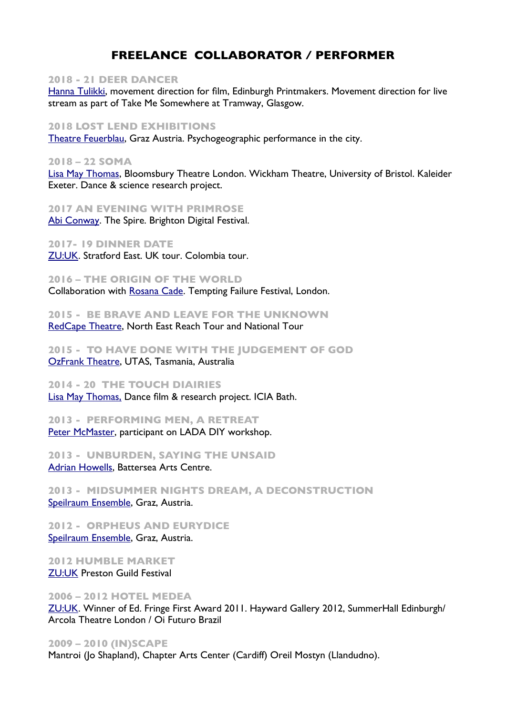# **FREELANCE COLLABORATOR / PERFORMER**

#### **2018 - 21 DEER DANCER**

[Hanna Tulikki,](https://www.hannatuulikki.org/) movement direction for film, Edinburgh Printmakers. Movement direction for live stream as part of Take Me Somewhere at Tramway, Glasgow.

#### **2018 LOST LEND EXHIBITIONS**

[Theatre Feuerblau](http://www.theaterfeuerblau.at/lost-land-expedition/), Graz Austria. Psychogeographic performance in the city.

#### **2018 – 22 SOMA**

[Lisa May Thomas](https://soma-project.co.uk/), Bloomsbury Theatre London. Wickham Theatre, University of Bristol. Kaleider Exeter. Dance & science research project.

**2017 AN EVENING WITH PRIMROSE** [Abi Conway.](https://www.abigailconway.com/) The Spire. Brighton Digital Festival.

**2017- 19 DINNER DATE** [ZU:UK](http://zu-uk.com/). Stratford East. UK tour. Colombia tour.

**2016 – THE ORIGIN OF THE WORLD**

Collaboration with [Rosana Cade.](https://rosanacadedotcom.wordpress.com/) Tempting Failure Festival, London.

**2015 - BE BRAVE AND LEAVE FOR THE UNKNOWN** [RedCape Theatre](http://www.willdickie.co.uk/Redcape.html), North East Reach Tour and National Tour

**2015 - TO HAVE DONE WITH THE JUDGEMENT OF GOD** [OzFrank Theatre,](http://www.willdickie.co.uk/OzFrank_Theatre.html) UTAS, Tasmania, Australia

### **2014 - 20 THE TOUCH DIAIRIES**

[Lisa May Thomas,](http://www.willdickie.co.uk/LMT.html) Dance film & research project. ICIA Bath.

# **2013 - PERFORMING MEN, A RETREAT**

[Peter McMaster,](https://takemesomewhere.co.uk/peter-mcmaster) participant on LADA DIY workshop.

**2013 - UNBURDEN, SAYING THE UNSAID** [Adrian Howells](https://en.wikipedia.org/wiki/Adrian_Howells), Battersea Arts Centre.

**2013 - MIDSUMMER NIGHTS DREAM, A DECONSTRUCTION** [Speilraum Ensemble,](http://www.willdickie.co.uk/Spielraum_Ensemble.html) Graz, Austria.

**2012 - ORPHEUS AND EURYDICE** [Speilraum Ensemble,](http://www.willdickie.co.uk/Spielraum_Ensemble.html) Graz, Austria.

**2012 HUMBLE MARKET** [ZU:UK](http://zu-uk.com/) Preston Guild Festival

#### **2006 – 2012 HOTEL MEDEA**

[ZU:UK](http://zu-uk.com/). Winner of Ed. Fringe First Award 2011. Hayward Gallery 2012, SummerHall Edinburgh/ Arcola Theatre London / Oi Futuro Brazil

#### **2009 – 2010 (IN)SCAPE**

Mantroi (Jo Shapland), Chapter Arts Center (Cardiff) Oreil Mostyn (Llandudno).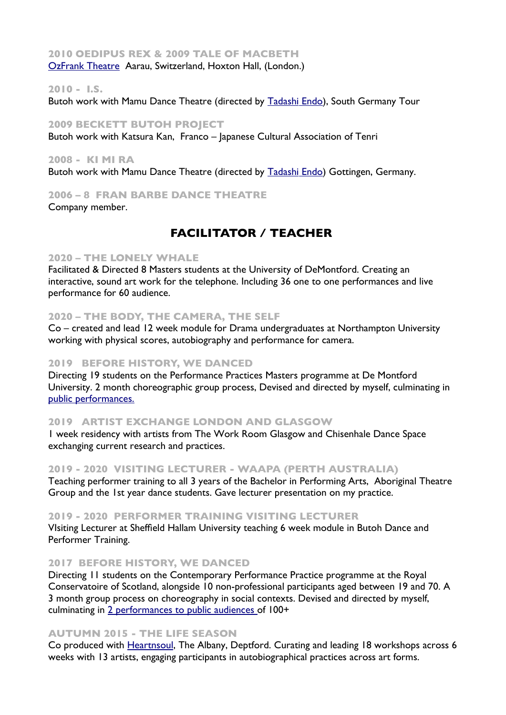### **2010 OEDIPUS REX & 2009 TALE OF MACBETH**  [OzFrank Theatre](http://www.willdickie.co.uk/OzFrank_Theatre.html) Aarau, Switzerland, Hoxton Hall, (London.)

#### **2010 - I.S.**

Butoh work with Mamu Dance Theatre (directed by [Tadashi Endo\)](http://www.butoh-ma.de/), South Germany Tour

#### **2009 BECKETT BUTOH PROJECT**

Butoh work with Katsura Kan, Franco – Japanese Cultural Association of Tenri

#### **2008 - KI MI RA**

Butoh work with Mamu Dance Theatre (directed by [Tadashi Endo\)](http://www.butoh-ma.de/) Gottingen, Germany.

### **2006 – 8 FRAN BARBE DANCE THEATRE**

Company member.

# **FACILITATOR / TEACHER**

#### **2020 – THE LONELY WHALE**

Facilitated & Directed 8 Masters students at the University of DeMontford. Creating an interactive, sound art work for the telephone. Including 36 one to one performances and live performance for 60 audience.

#### **2020 – THE BODY, THE CAMERA, THE SELF**

Co – created and lead 12 week module for Drama undergraduates at Northampton University working with physical scores, autobiography and performance for camera.

#### **2019 BEFORE HISTORY, WE DANCED**

Directing 19 students on the Performance Practices Masters programme at De Montford University. 2 month choreographic group process, Devised and directed by myself, culminating in [public performances.](http://www.willdickie.co.uk/b4_history.html)

#### **2019 ARTIST EXCHANGE LONDON AND GLASGOW**

1 week residency with artists from The Work Room Glasgow and Chisenhale Dance Space exchanging current research and practices.

#### **2019 - 2020 VISITING LECTURER - WAAPA (PERTH AUSTRALIA)**

Teaching performer training to all 3 years of the Bachelor in Performing Arts, Aboriginal Theatre Group and the 1st year dance students. Gave lecturer presentation on my practice.

#### **2019 - 2020 PERFORMER TRAINING VISITING LECTURER**

VIsiting Lecturer at Sheffield Hallam University teaching 6 week module in Butoh Dance and Performer Training.

#### **2017 BEFORE HISTORY, WE DANCED**

Directing 11 students on the Contemporary Performance Practice programme at the Royal Conservatoire of Scotland, alongside 10 non-professional participants aged between 19 and 70. A 3 month group process on choreography in social contexts. Devised and directed by myself, culminating in [2 performances to public audiences o](http://www.willdickie.co.uk/Before_History_we_Danced.html)f 100+

#### **AUTUMN 2015 - THE LIFE SEASON**

Co produced with [Heartnsoul](http://www.heartnsoul.co.uk/), The Albany, Deptford. Curating and leading 18 workshops across 6 weeks with 13 artists, engaging participants in autobiographical practices across art forms.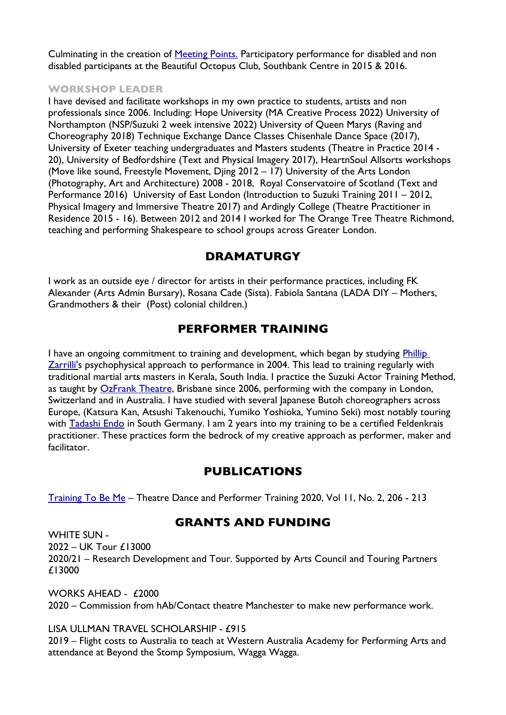Culminating in the creation of [Meeting Points.](http://www.willdickie.co.uk/Meeting_Points.html) Participatory performance for disabled and non disabled participants at the Beautiful Octopus Club, Southbank Centre in 2015 & 2016.

### **WORKSHOP LEADER**

I have devised and facilitate workshops in my own practice to students, artists and non professionals since 2006. Including: Hope University (MA Creative Process 2022) University of Northampton (NSP/Suzuki 2 week intensive 2022) University of Queen Marys (Raving and Choreography 2018) Technique Exchange Dance Classes Chisenhale Dance Space (2017), University of Exeter teaching undergraduates and Masters students (Theatre in Practice 2014 - 20), University of Bedfordshire (Text and Physical Imagery 2017), HeartnSoul Allsorts workshops (Move like sound, Freestyle Movement, Djing 2012 – 17) University of the Arts London (Photography, Art and Architecture) 2008 - 2018, Royal Conservatoire of Scotland (Text and Performance 2016) University of East London (Introduction to Suzuki Training 2011 – 2012, Physical Imagery and Immersive Theatre 2017) and Ardingly College (Theatre Practitioner in Residence 2015 - 16). Between 2012 and 2014 I worked for The Orange Tree Theatre Richmond, teaching and performing Shakespeare to school groups across Greater London.

# **DRAMATURGY**

I work as an outside eye / director for artists in their performance practices, including FK Alexander (Arts Admin Bursary), Rosana Cade (Sista). Fabiola Santana (LADA DIY – Mothers, Grandmothers & their (Post) colonial children.)

# **PERFORMER TRAINING**

I have an ongoing commitment to training and development, which began by studying Phillip [Zarrilli'](https://phillipzarrilli.com/)s psychophysical approach to performance in 2004. This lead to training regularly with traditional martial arts masters in Kerala, South India. I practice the Suzuki Actor Training Method, as taught by [OzFrank Theatre](http://www.ozfrank.com/), Brisbane since 2006, performing with the company in London, Switzerland and in Australia. I have studied with several Japanese Butoh choreographers across Europe, (Katsura Kan, Atsushi Takenouchi, Yumiko Yoshioka, Yumino Seki) most notably touring with [Tadashi Endo](http://www.tadashi-endo.de/) in South Germany. I am 2 years into my training to be a certified Feldenkrais practitioner. These practices form the bedrock of my creative approach as performer, maker and facilitator.

# **PUBLICATIONS**

[Training To Be Me](https://www.tandfonline.com/doi/abs/10.1080/19443927.2020.1752054) – Theatre Dance and Performer Training 2020, Vol 11, No. 2, 206 - 213

# **GRANTS AND FUNDING**

WHITE SUN - 2022 – UK Tour £13000 2020/21 – Research Development and Tour. Supported by Arts Council and Touring Partners £13000

WORKS AHFAD -  $f2000$ 2020 – Commission from hAb/Contact theatre Manchester to make new performance work.

## LISA ULLMAN TRAVEL SCHOLARSHIP - £915

2019 – Flight costs to Australia to teach at Western Australia Academy for Performing Arts and attendance at Beyond the Stomp Symposium, Wagga Wagga.